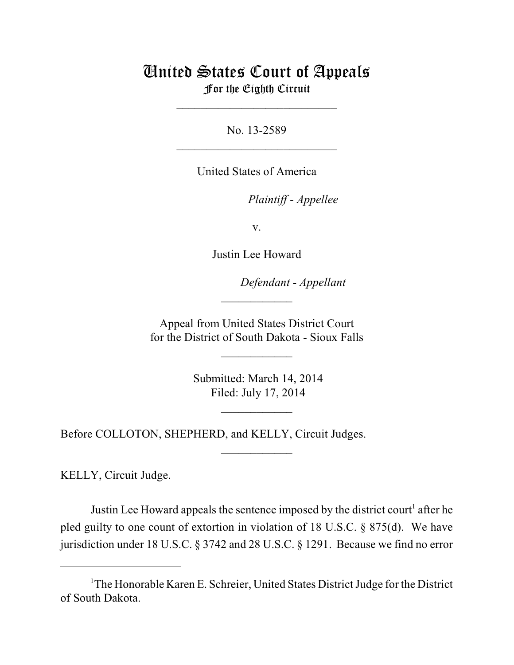# United States Court of Appeals For the Eighth Circuit

\_\_\_\_\_\_\_\_\_\_\_\_\_\_\_\_\_\_\_\_\_\_\_\_\_\_\_

No. 13-2589  $\mathcal{L}_\text{max}$  , which is a set of the set of the set of the set of the set of the set of the set of the set of the set of the set of the set of the set of the set of the set of the set of the set of the set of the set of

United States of America

Plaintiff - Appellee

v.

Justin Lee Howard

lllllllllllllllllllll *Defendant - Appellant*

 Appeal from United States District Court for the District of South Dakota - Sioux Falls

 $\overline{\phantom{a}}$  , where  $\overline{\phantom{a}}$ 

 $\frac{1}{2}$ 

 Submitted: March 14, 2014 Filed: July 17, 2014

 $\frac{1}{2}$ 

 $\overline{\phantom{a}}$  , where  $\overline{\phantom{a}}$ 

Before COLLOTON, SHEPHERD, and KELLY, Circuit Judges.

KELLY, Circuit Judge.

Justin Lee Howard appeals the sentence imposed by the district court<sup>1</sup> after he pled guilty to one count of extortion in violation of 18 U.S.C. § 875(d). We have jurisdiction under 18 U.S.C. § 3742 and 28 U.S.C. § 1291. Because we find no error

<sup>&</sup>lt;sup>1</sup>The Honorable Karen E. Schreier, United States District Judge for the District of South Dakota.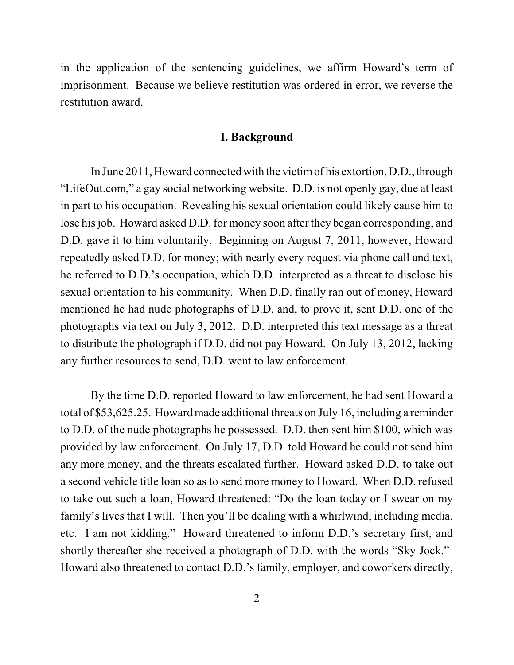in the application of the sentencing guidelines, we affirm Howard's term of imprisonment. Because we believe restitution was ordered in error, we reverse the restitution award.

## **I. Background**

In June 2011, Howard connected with the victimof his extortion, D.D., through "LifeOut.com," a gay social networking website. D.D. is not openly gay, due at least in part to his occupation. Revealing his sexual orientation could likely cause him to lose his job. Howard asked D.D. for money soon after they began corresponding, and D.D. gave it to him voluntarily. Beginning on August 7, 2011, however, Howard repeatedly asked D.D. for money; with nearly every request via phone call and text, he referred to D.D.'s occupation, which D.D. interpreted as a threat to disclose his sexual orientation to his community. When D.D. finally ran out of money, Howard mentioned he had nude photographs of D.D. and, to prove it, sent D.D. one of the photographs via text on July 3, 2012. D.D. interpreted this text message as a threat to distribute the photograph if D.D. did not pay Howard. On July 13, 2012, lacking any further resources to send, D.D. went to law enforcement.

By the time D.D. reported Howard to law enforcement, he had sent Howard a total of \$53,625.25. Howard made additional threats on July 16, including a reminder to D.D. of the nude photographs he possessed. D.D. then sent him \$100, which was provided by law enforcement. On July 17, D.D. told Howard he could not send him any more money, and the threats escalated further. Howard asked D.D. to take out a second vehicle title loan so as to send more money to Howard. When D.D. refused to take out such a loan, Howard threatened: "Do the loan today or I swear on my family's lives that I will. Then you'll be dealing with a whirlwind, including media, etc. I am not kidding." Howard threatened to inform D.D.'s secretary first, and shortly thereafter she received a photograph of D.D. with the words "Sky Jock." Howard also threatened to contact D.D.'s family, employer, and coworkers directly,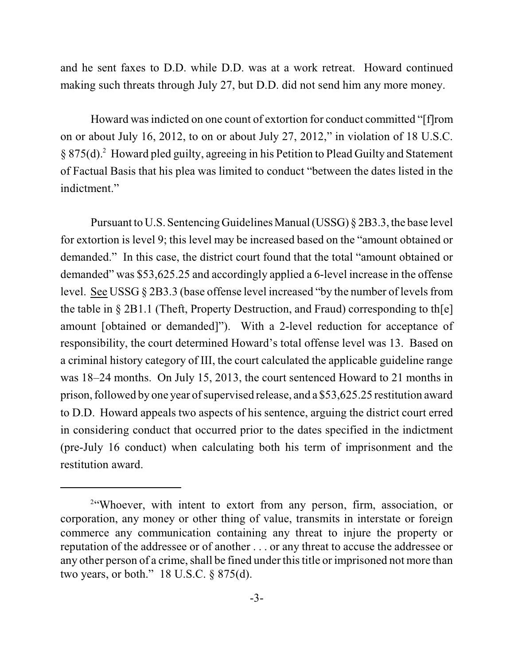and he sent faxes to D.D. while D.D. was at a work retreat. Howard continued making such threats through July 27, but D.D. did not send him any more money.

Howard was indicted on one count of extortion for conduct committed "[f]rom on or about July 16, 2012, to on or about July 27, 2012," in violation of 18 U.S.C.  $\S 875(d).$ <sup>2</sup> Howard pled guilty, agreeing in his Petition to Plead Guilty and Statement of Factual Basis that his plea was limited to conduct "between the dates listed in the indictment."

Pursuant to U.S. Sentencing Guidelines Manual (USSG) § 2B3.3, the base level for extortion is level 9; this level may be increased based on the "amount obtained or demanded." In this case, the district court found that the total "amount obtained or demanded" was \$53,625.25 and accordingly applied a 6-level increase in the offense level. See USSG  $\S 2B3.3$  (base offense level increased "by the number of levels from the table in § 2B1.1 (Theft, Property Destruction, and Fraud) corresponding to th[e] amount [obtained or demanded]"). With a 2-level reduction for acceptance of responsibility, the court determined Howard's total offense level was 13. Based on a criminal history category of III, the court calculated the applicable guideline range was 18–24 months. On July 15, 2013, the court sentenced Howard to 21 months in prison, followed by one year of supervised release, and a \$53,625.25 restitution award to D.D. Howard appeals two aspects of his sentence, arguing the district court erred in considering conduct that occurred prior to the dates specified in the indictment (pre-July 16 conduct) when calculating both his term of imprisonment and the restitution award.

<sup>&</sup>lt;sup>2"</sup>Whoever, with intent to extort from any person, firm, association, or corporation, any money or other thing of value, transmits in interstate or foreign commerce any communication containing any threat to injure the property or reputation of the addressee or of another . . . or any threat to accuse the addressee or any other person of a crime, shall be fined under this title or imprisoned not more than two years, or both." 18 U.S.C. § 875(d).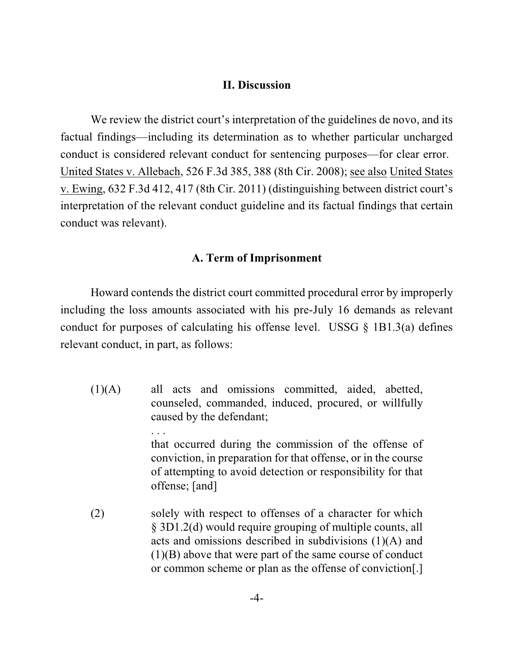### **II. Discussion**

We review the district court's interpretation of the guidelines de novo, and its factual findings—including its determination as to whether particular uncharged conduct is considered relevant conduct for sentencing purposes—for clear error. United States v. Allebach, 526 F.3d 385, 388 (8th Cir. 2008); see also United States v. Ewing, 632 F.3d 412, 417 (8th Cir. 2011) (distinguishing between district court's interpretation of the relevant conduct guideline and its factual findings that certain conduct was relevant).

### **A. Term of Imprisonment**

Howard contends the district court committed procedural error by improperly including the loss amounts associated with his pre-July 16 demands as relevant conduct for purposes of calculating his offense level. USSG  $\S$  1B1.3(a) defines relevant conduct, in part, as follows:

- (1)(A) all acts and omissions committed, aided, abetted, counseled, commanded, induced, procured, or willfully caused by the defendant; . . . that occurred during the commission of the offense of conviction, in preparation for that offense, or in the course of attempting to avoid detection or responsibility for that offense; [and]
- (2) solely with respect to offenses of a character for which § 3D1.2(d) would require grouping of multiple counts, all acts and omissions described in subdivisions (1)(A) and (1)(B) above that were part of the same course of conduct or common scheme or plan as the offense of conviction[.]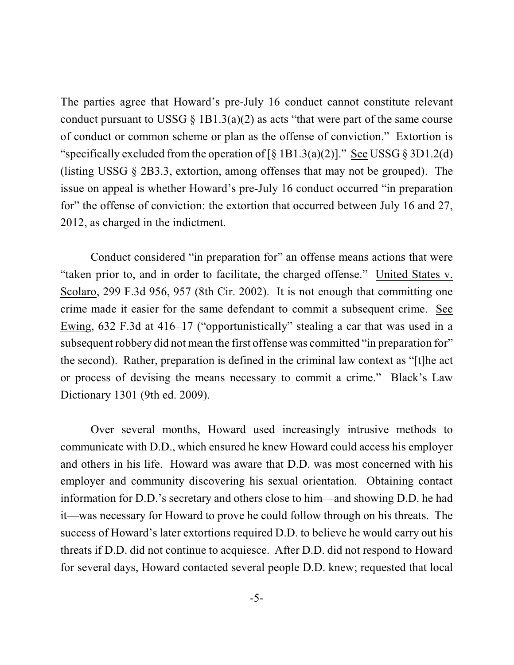The parties agree that Howard's pre-July 16 conduct cannot constitute relevant conduct pursuant to USSG  $\S$  1B1.3(a)(2) as acts "that were part of the same course of conduct or common scheme or plan as the offense of conviction." Extortion is "specifically excluded from the operation of  $\lceil \S 1B1.3(a)(2) \rceil$ ." See USSG  $\S 3D1.2(d)$ (listing USSG § 2B3.3, extortion, among offenses that may not be grouped). The issue on appeal is whether Howard's pre-July 16 conduct occurred "in preparation for" the offense of conviction: the extortion that occurred between July 16 and 27, 2012, as charged in the indictment.

Conduct considered "in preparation for" an offense means actions that were "taken prior to, and in order to facilitate, the charged offense." United States v. Scolaro, 299 F.3d 956, 957 (8th Cir. 2002). It is not enough that committing one crime made it easier for the same defendant to commit a subsequent crime. See Ewing, 632 F.3d at 416–17 ("opportunistically" stealing a car that was used in a subsequent robbery did not mean the first offense was committed "in preparation for" the second). Rather, preparation is defined in the criminal law context as "[t]he act or process of devising the means necessary to commit a crime." Black's Law Dictionary 1301 (9th ed. 2009).

Over several months, Howard used increasingly intrusive methods to communicate with D.D., which ensured he knew Howard could access his employer and others in his life. Howard was aware that D.D. was most concerned with his employer and community discovering his sexual orientation. Obtaining contact information for D.D.'s secretary and others close to him—and showing D.D. he had it—was necessary for Howard to prove he could follow through on his threats. The success of Howard's later extortions required D.D. to believe he would carry out his threats if D.D. did not continue to acquiesce. After D.D. did not respond to Howard for several days, Howard contacted several people D.D. knew; requested that local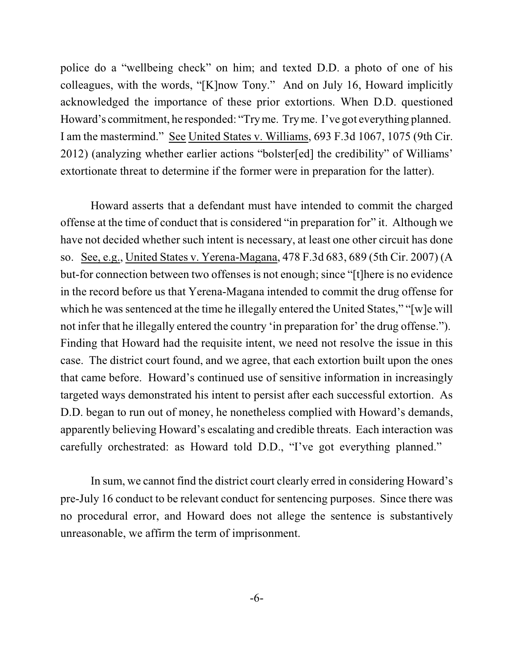police do a "wellbeing check" on him; and texted D.D. a photo of one of his colleagues, with the words, "[K]now Tony." And on July 16, Howard implicitly acknowledged the importance of these prior extortions. When D.D. questioned Howard's commitment, he responded: "Tryme. Tryme. I've got everything planned. I am the mastermind." See United States v. Williams, 693 F.3d 1067, 1075 (9th Cir. 2012) (analyzing whether earlier actions "bolster[ed] the credibility" of Williams' extortionate threat to determine if the former were in preparation for the latter).

Howard asserts that a defendant must have intended to commit the charged offense at the time of conduct that is considered "in preparation for" it. Although we have not decided whether such intent is necessary, at least one other circuit has done so. See, e.g., United States v. Yerena-Magana, 478 F.3d 683, 689 (5th Cir. 2007) (A but-for connection between two offenses is not enough; since "[t]here is no evidence in the record before us that Yerena-Magana intended to commit the drug offense for which he was sentenced at the time he illegally entered the United States," "[w]e will not infer that he illegally entered the country 'in preparation for' the drug offense."). Finding that Howard had the requisite intent, we need not resolve the issue in this case. The district court found, and we agree, that each extortion built upon the ones that came before. Howard's continued use of sensitive information in increasingly targeted ways demonstrated his intent to persist after each successful extortion. As D.D. began to run out of money, he nonetheless complied with Howard's demands, apparently believing Howard's escalating and credible threats. Each interaction was carefully orchestrated: as Howard told D.D., "I've got everything planned."

In sum, we cannot find the district court clearly erred in considering Howard's pre-July 16 conduct to be relevant conduct for sentencing purposes. Since there was no procedural error, and Howard does not allege the sentence is substantively unreasonable, we affirm the term of imprisonment.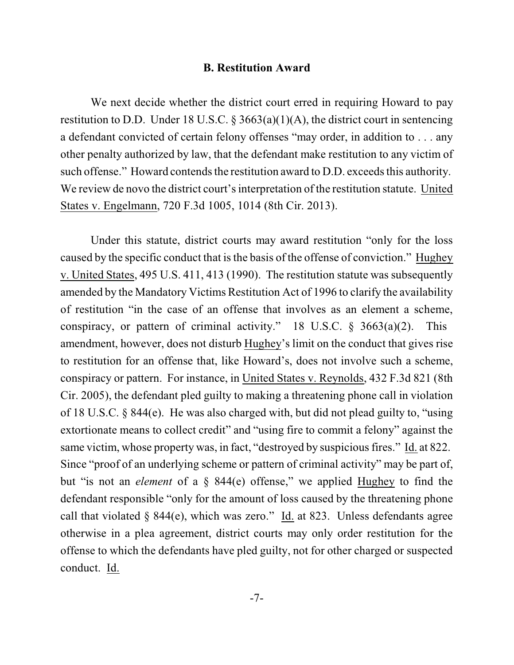#### **B. Restitution Award**

We next decide whether the district court erred in requiring Howard to pay restitution to D.D. Under 18 U.S.C.  $\S 3663(a)(1)(A)$ , the district court in sentencing a defendant convicted of certain felony offenses "may order, in addition to . . . any other penalty authorized by law, that the defendant make restitution to any victim of such offense." Howard contends the restitution award to D.D. exceeds this authority. We review de novo the district court's interpretation of the restitution statute. United States v. Engelmann, 720 F.3d 1005, 1014 (8th Cir. 2013).

Under this statute, district courts may award restitution "only for the loss caused by the specific conduct that is the basis of the offense of conviction." Hughey v. United States, 495 U.S. 411, 413 (1990). The restitution statute was subsequently amended by the Mandatory Victims Restitution Act of 1996 to clarify the availability of restitution "in the case of an offense that involves as an element a scheme, conspiracy, or pattern of criminal activity." 18 U.S.C.  $\S$  3663(a)(2). This amendment, however, does not disturb Hughey's limit on the conduct that gives rise to restitution for an offense that, like Howard's, does not involve such a scheme, conspiracy or pattern. For instance, in United States v. Reynolds, 432 F.3d 821 (8th Cir. 2005), the defendant pled guilty to making a threatening phone call in violation of 18 U.S.C. § 844(e). He was also charged with, but did not plead guilty to, "using extortionate means to collect credit" and "using fire to commit a felony" against the same victim, whose property was, in fact, "destroyed by suspicious fires." Id. at 822. Since "proof of an underlying scheme or pattern of criminal activity" may be part of, but "is not an *element* of a § 844(e) offense," we applied Hughey to find the defendant responsible "only for the amount of loss caused by the threatening phone call that violated  $\S$  844(e), which was zero." Id. at 823. Unless defendants agree otherwise in a plea agreement, district courts may only order restitution for the offense to which the defendants have pled guilty, not for other charged or suspected conduct. Id.